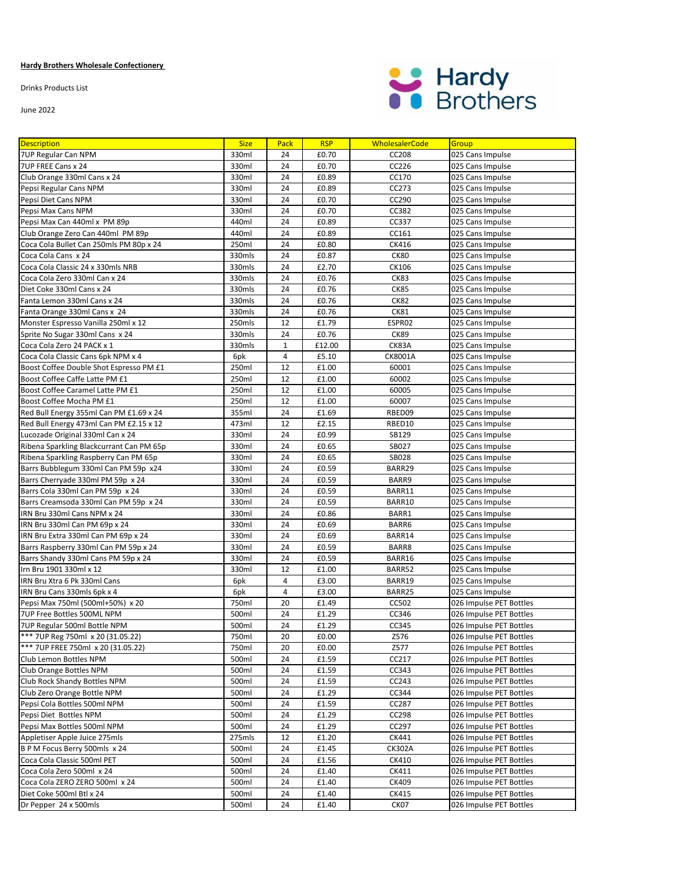## **Hardy Brothers Wholesale Confectionery**

Drinks Products List

June 2022



| <b>Description</b>                                              | <b>Size</b>  | <b>Pack</b>  | <b>RSP</b>     | <b>WholesalerCode</b> | Group                                              |
|-----------------------------------------------------------------|--------------|--------------|----------------|-----------------------|----------------------------------------------------|
| 7UP Regular Can NPM                                             | 330ml        | 24           | £0.70          | CC208                 | 025 Cans Impulse                                   |
| 7UP FREE Cans x 24                                              | 330ml        | 24           | £0.70          | CC226                 | 025 Cans Impulse                                   |
| Club Orange 330ml Cans x 24                                     | 330ml        | 24           | £0.89          | CC170                 | 025 Cans Impulse                                   |
| Pepsi Regular Cans NPM                                          | 330ml        | 24           | £0.89          | CC273                 | 025 Cans Impulse                                   |
| Pepsi Diet Cans NPM                                             | 330ml        | 24           | £0.70          | CC290                 | 025 Cans Impulse                                   |
| Pepsi Max Cans NPM                                              | 330ml        | 24           | £0.70          | CC382                 | 025 Cans Impulse                                   |
| Pepsi Max Can 440ml x PM 89p                                    | 440ml        | 24           | £0.89          | CC337                 | 025 Cans Impulse                                   |
| Club Orange Zero Can 440ml PM 89p                               | 440ml        | 24           | £0.89          | CC161                 | 025 Cans Impulse                                   |
| Coca Cola Bullet Can 250mls PM 80p x 24                         | 250ml        | 24           | £0.80          | CK416                 | 025 Cans Impulse                                   |
| Coca Cola Cans x 24                                             | 330mls       | 24           | £0.87          | <b>CK80</b>           | 025 Cans Impulse                                   |
| Coca Cola Classic 24 x 330mls NRB                               | 330mls       | 24           | £2.70          | CK106                 | 025 Cans Impulse                                   |
| Coca Cola Zero 330ml Can x 24                                   | 330mls       | 24           | £0.76          | <b>CK83</b>           | 025 Cans Impulse                                   |
| Diet Coke 330ml Cans x 24                                       | 330mls       | 24           | £0.76          | <b>CK85</b>           | 025 Cans Impulse                                   |
| Fanta Lemon 330ml Cans x 24                                     | 330mls       | 24           | £0.76          | CK82                  | 025 Cans Impulse                                   |
| Fanta Orange 330ml Cans x 24                                    | 330mls       | 24           | £0.76          | <b>CK81</b>           | 025 Cans Impulse                                   |
| Monster Espresso Vanilla 250ml x 12                             | 250mls       | 12           | £1.79          | ESPR02                | 025 Cans Impulse                                   |
| Sprite No Sugar 330ml Cans x 24                                 | 330mls       | 24           | £0.76          | CK89                  | 025 Cans Impulse                                   |
| Coca Cola Zero 24 PACK x 1                                      | 330mls       | $\mathbf{1}$ | £12.00         | CK83A                 | 025 Cans Impulse                                   |
| Coca Cola Classic Cans 6pk NPM x 4                              | 6pk          | 4            | £5.10          | CK8001A               | 025 Cans Impulse                                   |
| Boost Coffee Double Shot Espresso PM £1                         | 250ml        | 12           | £1.00          | 60001                 | 025 Cans Impulse                                   |
| Boost Coffee Caffe Latte PM £1                                  | 250ml        | 12           | £1.00          | 60002                 | 025 Cans Impulse                                   |
| Boost Coffee Caramel Latte PM £1                                | 250ml        | 12           | £1.00          | 60005                 | 025 Cans Impulse                                   |
| Boost Coffee Mocha PM £1                                        | 250ml        | 12           | £1.00          | 60007                 | 025 Cans Impulse                                   |
| Red Bull Energy 355ml Can PM £1.69 x 24                         | 355ml        | 24           | £1.69          | RBED09                | 025 Cans Impulse                                   |
| Red Bull Energy 473ml Can PM £2.15 x 12                         | 473ml        | 12           | £2.15          | RBED10                | 025 Cans Impulse                                   |
| Lucozade Original 330ml Can x 24                                | 330ml        | 24           | £0.99          | SB129                 | 025 Cans Impulse                                   |
| Ribena Sparkling Blackcurrant Can PM 65p                        | 330ml        | 24           | £0.65          | SB027                 | 025 Cans Impulse                                   |
| Ribena Sparkling Raspberry Can PM 65p                           | 330ml        | 24           | £0.65          | <b>SB028</b>          | 025 Cans Impulse                                   |
| Barrs Bubblegum 330ml Can PM 59p x24                            | 330ml        | 24           | £0.59          | BARR29                | 025 Cans Impulse                                   |
| Barrs Cherryade 330ml PM 59p x 24                               | 330ml        | 24           | £0.59          | BARR9                 | 025 Cans Impulse                                   |
| Barrs Cola 330ml Can PM 59p x 24                                | 330ml        | 24           | £0.59          | BARR11                | 025 Cans Impulse                                   |
| Barrs Creamsoda 330ml Can PM 59p x 24                           | 330ml        | 24           | £0.59          | BARR10                | 025 Cans Impulse                                   |
| IRN Bru 330ml Cans NPM x 24                                     | 330ml        | 24           | £0.86          | BARR1                 | 025 Cans Impulse                                   |
| IRN Bru 330ml Can PM 69p x 24                                   | 330ml        | 24           | £0.69          | BARR6                 | 025 Cans Impulse                                   |
| IRN Bru Extra 330ml Can PM 69p x 24                             | 330ml        | 24           | £0.69          | BARR14                | 025 Cans Impulse                                   |
| Barrs Raspberry 330ml Can PM 59p x 24                           | 330ml        | 24           | £0.59          | BARR8                 | 025 Cans Impulse                                   |
| Barrs Shandy 330ml Cans PM 59p x 24                             | 330ml        | 24           | £0.59          | BARR16                | 025 Cans Impulse                                   |
| Irn Bru 1901 330ml x 12                                         | 330ml        | 12           | £1.00          | BARR52                | 025 Cans Impulse                                   |
| IRN Bru Xtra 6 Pk 330ml Cans                                    | 6pk          | 4            | £3.00          | BARR19                | 025 Cans Impulse                                   |
| IRN Bru Cans 330mls 6pk x 4<br>Pepsi Max 750ml (500ml+50%) x 20 | 6pk<br>750ml | 4<br>20      | £3.00<br>£1.49 | BARR25<br>CC502       | 025 Cans Impulse                                   |
| <b>7UP Free Bottles 500ML NPM</b>                               | 500ml        | 24           | £1.29          | CC346                 | 026 Impulse PET Bottles<br>026 Impulse PET Bottles |
| 7UP Regular 500ml Bottle NPM                                    | 500ml        | 24           | £1.29          | CC345                 | 026 Impulse PET Bottles                            |
| *** 7UP Reg 750ml x 20 (31.05.22)                               | 750ml        | 20           | £0.00          | Z576                  | 026 Impulse PET Bottles                            |
| *** 7UP FREE 750ml x 20 (31.05.22)                              | 750ml        | 20           | £0.00          | Z577                  | 026 Impulse PET Bottles                            |
| Club Lemon Bottles NPM                                          | 500ml        | 24           | £1.59          | CC217                 | 026 Impulse PET Bottles                            |
| Club Orange Bottles NPM                                         | 500ml        | 24           | £1.59          | CC343                 | 026 Impulse PET Bottles                            |
| Club Rock Shandy Bottles NPM                                    | 500ml        | 24           | £1.59          | CC243                 | 026 Impulse PET Bottles                            |
| Club Zero Orange Bottle NPM                                     | 500ml        | 24           | £1.29          | CC344                 | 026 Impulse PET Bottles                            |
| Pepsi Cola Bottles 500ml NPM                                    | 500ml        | 24           | £1.59          | CC287                 | 026 Impulse PET Bottles                            |
| Pepsi Diet Bottles NPM                                          | 500ml        | 24           | £1.29          | CC298                 | 026 Impulse PET Bottles                            |
| Pepsi Max Bottles 500ml NPM                                     | 500ml        | 24           | £1.29          | CC297                 | 026 Impulse PET Bottles                            |
| Appletiser Apple Juice 275mls                                   | 275mls       | 12           | £1.20          | CK441                 | 026 Impulse PET Bottles                            |
| B P M Focus Berry 500mls x 24                                   | 500ml        | 24           | £1.45          | <b>CK302A</b>         | 026 Impulse PET Bottles                            |
| Coca Cola Classic 500ml PET                                     | 500ml        | 24           | £1.56          | CK410                 | 026 Impulse PET Bottles                            |
| Coca Cola Zero 500ml x 24                                       | 500ml        | 24           | £1.40          | CK411                 | 026 Impulse PET Bottles                            |
| Coca Cola ZERO ZERO 500ml x 24                                  | 500ml        | 24           | £1.40          | CK409                 | 026 Impulse PET Bottles                            |
| Diet Coke 500ml Btl x 24                                        | 500ml        | 24           | £1.40          | CK415                 | 026 Impulse PET Bottles                            |
| Dr Pepper 24 x 500mls                                           | 500ml        | 24           | £1.40          | CK07                  | 026 Impulse PET Bottles                            |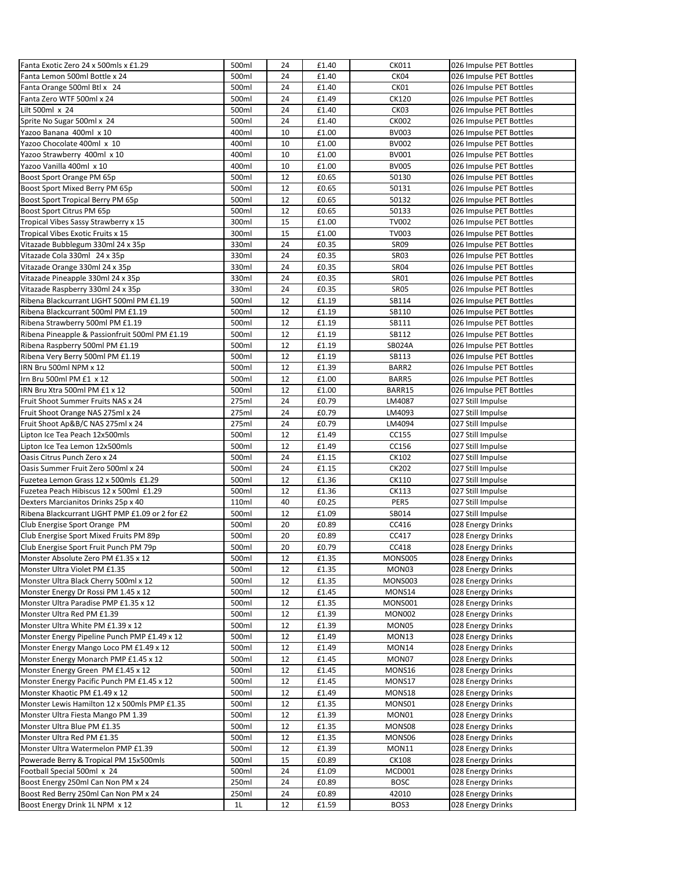| Fanta Exotic Zero 24 x 500mls x £1.29           | 500ml          | 24       | £1.40          | CK011           | 026 Impulse PET Bottles                |
|-------------------------------------------------|----------------|----------|----------------|-----------------|----------------------------------------|
| Fanta Lemon 500ml Bottle x 24                   | 500ml          | 24       | £1.40          | CK04            | 026 Impulse PET Bottles                |
| Fanta Orange 500ml Btl x 24                     | 500ml          | 24       | £1.40          | CK01            | 026 Impulse PET Bottles                |
| Fanta Zero WTF 500ml x 24                       | 500ml          | 24       | £1.49          | CK120           | 026 Impulse PET Bottles                |
| Lilt 500ml x 24                                 | 500ml          | 24       | £1.40          | CK03            | 026 Impulse PET Bottles                |
| Sprite No Sugar 500ml x 24                      | 500ml          | 24       | £1.40          | <b>CK002</b>    | 026 Impulse PET Bottles                |
| Yazoo Banana 400ml x 10                         | 400ml          | 10       | £1.00          | <b>BV003</b>    | 026 Impulse PET Bottles                |
| Yazoo Chocolate 400ml x 10                      | 400ml          | 10       | £1.00          | BV002           | 026 Impulse PET Bottles                |
| Yazoo Strawberry 400ml x 10                     | 400ml          | 10       | £1.00          | BV001           | 026 Impulse PET Bottles                |
| Yazoo Vanilla 400ml x 10                        | 400ml          | 10       | £1.00          | <b>BV005</b>    | 026 Impulse PET Bottles                |
| Boost Sport Orange PM 65p                       | 500ml          | 12       | £0.65          | 50130           | 026 Impulse PET Bottles                |
| Boost Sport Mixed Berry PM 65p                  | 500ml          | 12       | £0.65          | 50131           | 026 Impulse PET Bottles                |
| Boost Sport Tropical Berry PM 65p               | 500ml          | 12       | £0.65          | 50132           | 026 Impulse PET Bottles                |
| Boost Sport Citrus PM 65p                       | 500ml          | 12       | £0.65          | 50133           | 026 Impulse PET Bottles                |
| Tropical Vibes Sassy Strawberry x 15            | 300ml          | 15       | £1.00          | <b>TV002</b>    | 026 Impulse PET Bottles                |
| Tropical Vibes Exotic Fruits x 15               | 300ml          | 15       | £1.00          | <b>TV003</b>    | 026 Impulse PET Bottles                |
| Vitazade Bubblegum 330ml 24 x 35p               | 330ml          | 24       | £0.35          | SR09            | 026 Impulse PET Bottles                |
| Vitazade Cola 330ml 24 x 35p                    | 330ml          | 24       | £0.35          | <b>SR03</b>     | 026 Impulse PET Bottles                |
| Vitazade Orange 330ml 24 x 35p                  | 330ml          | 24       | £0.35          | <b>SR04</b>     | 026 Impulse PET Bottles                |
| Vitazade Pineapple 330ml 24 x 35p               | 330ml          | 24       | £0.35          | SR01            | 026 Impulse PET Bottles                |
| Vitazade Raspberry 330ml 24 x 35p               | 330ml          | 24       | £0.35          | <b>SR05</b>     | 026 Impulse PET Bottles                |
| Ribena Blackcurrant LIGHT 500ml PM £1.19        | 500ml          | 12       | £1.19          | SB114           | 026 Impulse PET Bottles                |
| Ribena Blackcurrant 500ml PM £1.19              | 500ml          | 12       | £1.19          | SB110           | 026 Impulse PET Bottles                |
| Ribena Strawberry 500ml PM £1.19                | 500ml          | 12       | £1.19          | SB111           | 026 Impulse PET Bottles                |
| Ribena Pineapple & Passionfruit 500ml PM £1.19  | 500ml          | 12       | £1.19          | SB112           | 026 Impulse PET Bottles                |
| Ribena Raspberry 500ml PM £1.19                 | 500ml          | 12       | £1.19          | SB024A          | 026 Impulse PET Bottles                |
| Ribena Very Berry 500ml PM £1.19                | 500ml          | 12       | £1.19          | SB113           | 026 Impulse PET Bottles                |
| IRN Bru 500ml NPM x 12                          | 500ml          | 12       | £1.39          | BARR2           | 026 Impulse PET Bottles                |
| Irn Bru 500ml PM £1 x 12                        | 500ml          | 12       | £1.00          | BARR5           | 026 Impulse PET Bottles                |
| IRN Bru Xtra 500ml PM £1 x 12                   | 500ml          | 12       | £1.00          | BARR15          | 026 Impulse PET Bottles                |
| Fruit Shoot Summer Fruits NAS x 24              | 275ml          | 24       | £0.79          | LM4087          | 027 Still Impulse                      |
| Fruit Shoot Orange NAS 275ml x 24               | 275ml          | 24       | £0.79          | LM4093          | 027 Still Impulse                      |
| Fruit Shoot Ap&B/C NAS 275ml x 24               | 275ml          | 24       | £0.79          | LM4094          | 027 Still Impulse                      |
| Lipton Ice Tea Peach 12x500mls                  | 500ml          | 12       | £1.49          | CC155           | 027 Still Impulse                      |
| Lipton Ice Tea Lemon 12x500mls                  | 500ml          | 12       | £1.49          | CC156           | 027 Still Impulse                      |
| Oasis Citrus Punch Zero x 24                    | 500ml          | 24       | £1.15          | CK102           | 027 Still Impulse                      |
| Oasis Summer Fruit Zero 500ml x 24              | 500ml          | 24       | £1.15          | CK202           | 027 Still Impulse                      |
| Fuzetea Lemon Grass 12 x 500mls £1.29           | 500ml          | 12       | £1.36          | CK110           | 027 Still Impulse                      |
| Fuzetea Peach Hibiscus 12 x 500ml £1.29         | 500ml          | 12       | £1.36          | CK113           | 027 Still Impulse                      |
| Dexters Marcianitos Drinks 25p x 40             | 110ml          | 40       | £0.25          | PER5            | 027 Still Impulse                      |
| Ribena Blackcurrant LIGHT PMP £1.09 or 2 for £2 | 500ml          | 12       | £1.09          | SB014           | 027 Still Impulse                      |
| Club Energise Sport Orange PM                   | 500ml          | 20       | £0.89          | CC416           | 028 Energy Drinks                      |
| Club Energise Sport Mixed Fruits PM 89p         | 500ml          | 20       | £0.89          | CC417           | 028 Energy Drinks                      |
| Club Energise Sport Fruit Punch PM 79p          | 500ml          | 20       | £0.79          | CC418           | 028 Energy Drinks                      |
| Monster Absolute Zero PM £1.35 x 12             | 500ml          | 12       | £1.35          | MONS005         | 028 Energy Drinks                      |
| Monster Ultra Violet PM £1.35                   | 500ml          | 12       | £1.35          | MON03           | 028 Energy Drinks                      |
| Monster Ultra Black Cherry 500ml x 12           | 500ml          | 12       | £1.35          | <b>MONS003</b>  | 028 Energy Drinks                      |
| Monster Energy Dr Rossi PM 1.45 x 12            | 500ml          | 12       | £1.45          | MONS14          | 028 Energy Drinks                      |
| Monster Ultra Paradise PMP £1.35 x 12           | 500ml          | 12       | £1.35          | <b>MONS001</b>  | 028 Energy Drinks                      |
| Monster Ultra Red PM £1.39                      | 500ml          | 12       | £1.39          | <b>MON002</b>   | 028 Energy Drinks                      |
| Monster Ultra White PM £1.39 x 12               | 500ml          | 12       | £1.39          | MON05           | 028 Energy Drinks                      |
| Monster Energy Pipeline Punch PMP £1.49 x 12    | 500ml          | 12       | £1.49          | MON13           | 028 Energy Drinks                      |
| Monster Energy Mango Loco PM £1.49 x 12         | 500ml          | 12       | £1.49          | MON14           | 028 Energy Drinks                      |
| Monster Energy Monarch PMP £1.45 x 12           | 500ml          | 12       | £1.45          | MON07           | 028 Energy Drinks                      |
| Monster Energy Green PM £1.45 x 12              | 500ml          | 12       | £1.45          | MONS16          | 028 Energy Drinks                      |
| Monster Energy Pacific Punch PM £1.45 x 12      | 500ml          | 12       | £1.45          | MONS17          | 028 Energy Drinks                      |
| Monster Khaotic PM £1.49 x 12                   |                |          |                |                 |                                        |
|                                                 | 500ml          | 12       | £1.49          | MONS18          | 028 Energy Drinks                      |
| Monster Lewis Hamilton 12 x 500mls PMP £1.35    | 500ml<br>500ml | 12<br>12 | £1.35<br>£1.39 | MONS01<br>MON01 | 028 Energy Drinks<br>028 Energy Drinks |
| Monster Ultra Fiesta Mango PM 1.39              |                |          |                |                 |                                        |
| Monster Ultra Blue PM £1.35                     | 500ml          | 12       | £1.35          | MONS08          | 028 Energy Drinks                      |
| Monster Ultra Red PM £1.35                      | 500ml          | 12       | £1.35          | MONS06          | 028 Energy Drinks                      |
| Monster Ultra Watermelon PMP £1.39              | 500ml          | 12       | £1.39          | MON11           | 028 Energy Drinks                      |
| Powerade Berry & Tropical PM 15x500mls          | 500ml          | 15       | £0.89          | <b>CK108</b>    | 028 Energy Drinks                      |
| Football Special 500ml x 24                     | 500ml          | 24       | £1.09          | MCD001          | 028 Energy Drinks                      |
| Boost Energy 250ml Can Non PM x 24              | 250ml          | 24       | £0.89          | <b>BOSC</b>     | 028 Energy Drinks                      |
| Boost Red Berry 250ml Can Non PM x 24           | 250ml          | 24       | £0.89          | 42010           | 028 Energy Drinks                      |
| Boost Energy Drink 1L NPM x 12                  | 1 <sub>L</sub> | 12       | £1.59          | BOS3            | 028 Energy Drinks                      |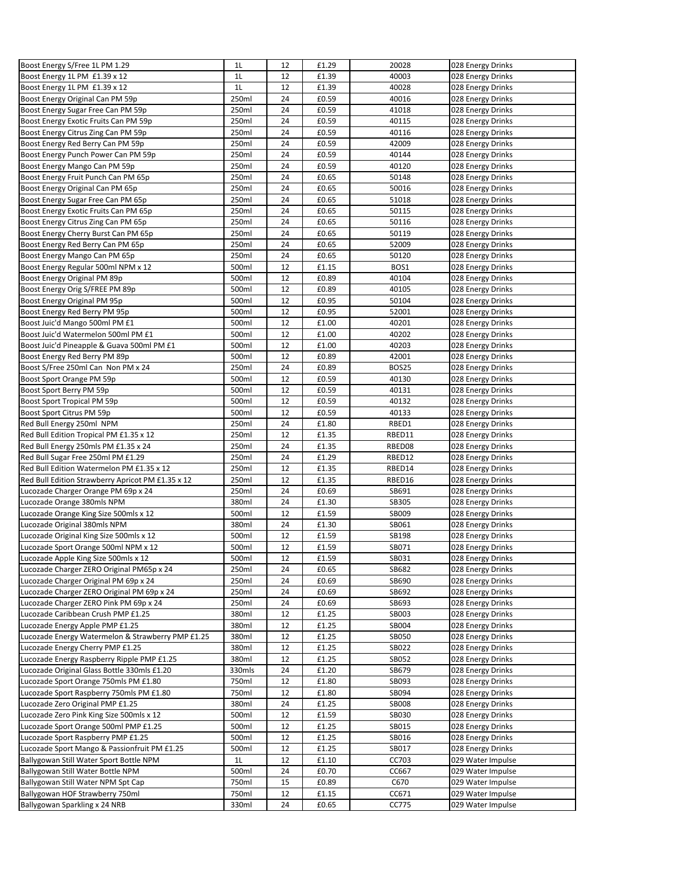| Boost Energy S/Free 1L PM 1.29                                                            | 1 <sub>L</sub>  | 12       | £1.29          | 20028                 | 028 Energy Drinks                      |
|-------------------------------------------------------------------------------------------|-----------------|----------|----------------|-----------------------|----------------------------------------|
| Boost Energy 1L PM £1.39 x 12                                                             | 1L              | 12       | £1.39          | 40003                 | 028 Energy Drinks                      |
| Boost Energy 1L PM £1.39 x 12                                                             | 1L              | 12       | £1.39          | 40028                 | 028 Energy Drinks                      |
| Boost Energy Original Can PM 59p                                                          | 250ml           | 24       | £0.59          | 40016                 | 028 Energy Drinks                      |
| Boost Energy Sugar Free Can PM 59p                                                        | 250ml           | 24       | £0.59          | 41018                 | 028 Energy Drinks                      |
| Boost Energy Exotic Fruits Can PM 59p                                                     | 250ml           | 24       | £0.59          | 40115                 | 028 Energy Drinks                      |
| Boost Energy Citrus Zing Can PM 59p                                                       | 250ml           | 24       | £0.59          | 40116                 | 028 Energy Drinks                      |
| Boost Energy Red Berry Can PM 59p                                                         | 250ml           | 24       | £0.59          | 42009                 | 028 Energy Drinks                      |
| Boost Energy Punch Power Can PM 59p                                                       | 250ml           | 24       | £0.59          | 40144                 | 028 Energy Drinks                      |
| Boost Energy Mango Can PM 59p                                                             | 250ml           | 24       | £0.59          | 40120                 | 028 Energy Drinks                      |
| Boost Energy Fruit Punch Can PM 65p                                                       | 250ml           | 24       | £0.65          | 50148                 | 028 Energy Drinks                      |
| Boost Energy Original Can PM 65p                                                          | 250ml           | 24       | £0.65          | 50016                 | 028 Energy Drinks                      |
| Boost Energy Sugar Free Can PM 65p                                                        | 250ml           | 24       | £0.65          | 51018                 | 028 Energy Drinks                      |
| Boost Energy Exotic Fruits Can PM 65p                                                     | 250ml           | 24       | £0.65          | 50115                 | 028 Energy Drinks                      |
| Boost Energy Citrus Zing Can PM 65p                                                       | 250ml           | 24       | £0.65          | 50116                 | 028 Energy Drinks                      |
| Boost Energy Cherry Burst Can PM 65p                                                      | 250ml           | 24       | £0.65          | 50119                 | 028 Energy Drinks                      |
| Boost Energy Red Berry Can PM 65p                                                         | 250ml           | 24       | £0.65          | 52009                 | 028 Energy Drinks                      |
| Boost Energy Mango Can PM 65p                                                             | 250ml           | 24       | £0.65          | 50120                 | 028 Energy Drinks                      |
| Boost Energy Regular 500ml NPM x 12                                                       | 500ml           | 12       | £1.15          | BOS1                  | 028 Energy Drinks                      |
| Boost Energy Original PM 89p                                                              | 500ml           | 12       | £0.89          | 40104                 | 028 Energy Drinks                      |
| Boost Energy Orig S/FREE PM 89p                                                           | 500ml           | 12       | £0.89          | 40105                 | 028 Energy Drinks                      |
| Boost Energy Original PM 95p                                                              | 500ml           | 12       | £0.95          | 50104                 | 028 Energy Drinks                      |
| Boost Energy Red Berry PM 95p                                                             | 500ml           | 12       | £0.95          | 52001                 | 028 Energy Drinks                      |
| Boost Juic'd Mango 500ml PM £1                                                            | 500ml           | 12       | £1.00          | 40201                 | 028 Energy Drinks                      |
| Boost Juic'd Watermelon 500ml PM £1                                                       | 500ml           | 12       | £1.00          | 40202                 | 028 Energy Drinks                      |
| Boost Juic'd Pineapple & Guava 500ml PM £1                                                | 500ml           | 12       | £1.00          | 40203                 | 028 Energy Drinks                      |
| Boost Energy Red Berry PM 89p                                                             | 500ml           | 12       | £0.89          | 42001                 | 028 Energy Drinks                      |
| Boost S/Free 250ml Can Non PM x 24                                                        | 250ml           | 24       | £0.89          | <b>BOS25</b>          | 028 Energy Drinks                      |
| Boost Sport Orange PM 59p                                                                 | 500ml           | 12       | £0.59          | 40130                 | 028 Energy Drinks                      |
| Boost Sport Berry PM 59p                                                                  | 500ml           | 12       | £0.59          | 40131                 | 028 Energy Drinks                      |
| Boost Sport Tropical PM 59p                                                               | 500ml           | 12       | £0.59          | 40132                 | 028 Energy Drinks                      |
| Boost Sport Citrus PM 59p                                                                 | 500ml           | 12       | £0.59          | 40133                 | 028 Energy Drinks                      |
| Red Bull Energy 250ml NPM                                                                 | 250ml           | 24       | £1.80          | RBED1                 | 028 Energy Drinks                      |
| Red Bull Edition Tropical PM £1.35 x 12                                                   | 250ml           | 12       | £1.35          | RBED11                | 028 Energy Drinks                      |
| Red Bull Energy 250mls PM £1.35 x 24                                                      | 250ml           | 24       | £1.35          | RBED08                | 028 Energy Drinks                      |
| Red Bull Sugar Free 250ml PM £1.29                                                        | 250ml           | 24       | £1.29          | RBED12                | 028 Energy Drinks                      |
| Red Bull Edition Watermelon PM £1.35 x 12                                                 | 250ml           | 12       | £1.35          | RBED14                | 028 Energy Drinks                      |
| Red Bull Edition Strawberry Apricot PM £1.35 x 12                                         | 250ml           | 12       | £1.35          | RBED16                | 028 Energy Drinks                      |
| Lucozade Charger Orange PM 69p x 24                                                       | 250ml           | 24       | £0.69          | SB691                 | 028 Energy Drinks                      |
| Lucozade Orange 380mls NPM                                                                | 380ml           | 24       | £1.30          | SB305                 | 028 Energy Drinks                      |
| Lucozade Orange King Size 500mls x 12                                                     | 500ml           | 12       | £1.59          | SB009                 | 028 Energy Drinks                      |
| Lucozade Original 380mls NPM                                                              | 380ml           | 24       | £1.30          | SB061                 | 028 Energy Drinks                      |
| Lucozade Original King Size 500mls x 12                                                   | 500ml           | 12       | £1.59          | SB198                 | 028 Energy Drinks                      |
| Lucozade Sport Orange 500ml NPM x 12                                                      | 500ml           | 12       | £1.59          | SB071                 | 028 Energy Drinks                      |
| Lucozade Apple King Size 500mls x 12                                                      | 500ml           | 12       | £1.59          | SB031                 | 028 Energy Drinks                      |
| Lucozade Charger ZERO Original PM65p x 24                                                 | 250ml           | 24       | £0.65          | SB682                 | 028 Energy Drinks                      |
| Lucozade Charger Original PM 69p x 24                                                     | 250ml           | 24       | £0.69          | SB690                 | 028 Energy Drinks                      |
| Lucozade Charger ZERO Original PM 69p x 24                                                | 250ml           | 24       | £0.69          | SB692                 | 028 Energy Drinks                      |
| Lucozade Charger ZERO Pink PM 69p x 24                                                    | 250ml           | 24       | £0.69          | SB693                 | 028 Energy Drinks                      |
| Lucozade Caribbean Crush PMP £1.25                                                        | 380ml           | 12       | £1.25          | SB003                 | 028 Energy Drinks                      |
| Lucozade Energy Apple PMP £1.25                                                           | 380ml           | 12       | £1.25          | SB004                 | 028 Energy Drinks                      |
| Lucozade Energy Watermelon & Strawberry PMP £1.25                                         | 380ml           | 12       | £1.25          | SB050                 | 028 Energy Drinks                      |
| Lucozade Energy Cherry PMP £1.25                                                          | 380ml           | 12       | £1.25          | SB022                 | 028 Energy Drinks                      |
| Lucozade Energy Raspberry Ripple PMP £1.25<br>Lucozade Original Glass Bottle 330mls £1.20 | 380ml<br>330mls | 12<br>24 | £1.25<br>£1.20 | SB052<br>SB679        | 028 Energy Drinks<br>028 Energy Drinks |
| Lucozade Sport Orange 750mls PM £1.80                                                     | 750ml           | 12       | £1.80          | SB093                 | 028 Energy Drinks                      |
|                                                                                           |                 |          |                |                       | 028 Energy Drinks                      |
| Lucozade Sport Raspberry 750mls PM £1.80<br>Lucozade Zero Original PMP £1.25              | 750ml<br>380ml  | 12<br>24 | £1.80<br>£1.25 | SB094<br><b>SB008</b> | 028 Energy Drinks                      |
| Lucozade Zero Pink King Size 500mls x 12                                                  | 500ml           | 12       | £1.59          | SB030                 | 028 Energy Drinks                      |
|                                                                                           | 500ml           |          |                | SB015                 |                                        |
| Lucozade Sport Orange 500ml PMP £1.25<br>Lucozade Sport Raspberry PMP £1.25               | 500ml           | 12<br>12 | £1.25<br>£1.25 | SB016                 | 028 Energy Drinks<br>028 Energy Drinks |
| Lucozade Sport Mango & Passionfruit PM £1.25                                              | 500ml           | 12       | £1.25          | SB017                 | 028 Energy Drinks                      |
| Ballygowan Still Water Sport Bottle NPM                                                   | 1L              | 12       | £1.10          | CC703                 | 029 Water Impulse                      |
| Ballygowan Still Water Bottle NPM                                                         | 500ml           | 24       | £0.70          | CC667                 | 029 Water Impulse                      |
| Ballygowan Still Water NPM Spt Cap                                                        | 750ml           | 15       | £0.89          | C670                  | 029 Water Impulse                      |
| Ballygowan HOF Strawberry 750ml                                                           | 750ml           | 12       | £1.15          | CC671                 | 029 Water Impulse                      |
| Ballygowan Sparkling x 24 NRB                                                             | 330ml           | 24       | £0.65          | CC775                 | 029 Water Impulse                      |
|                                                                                           |                 |          |                |                       |                                        |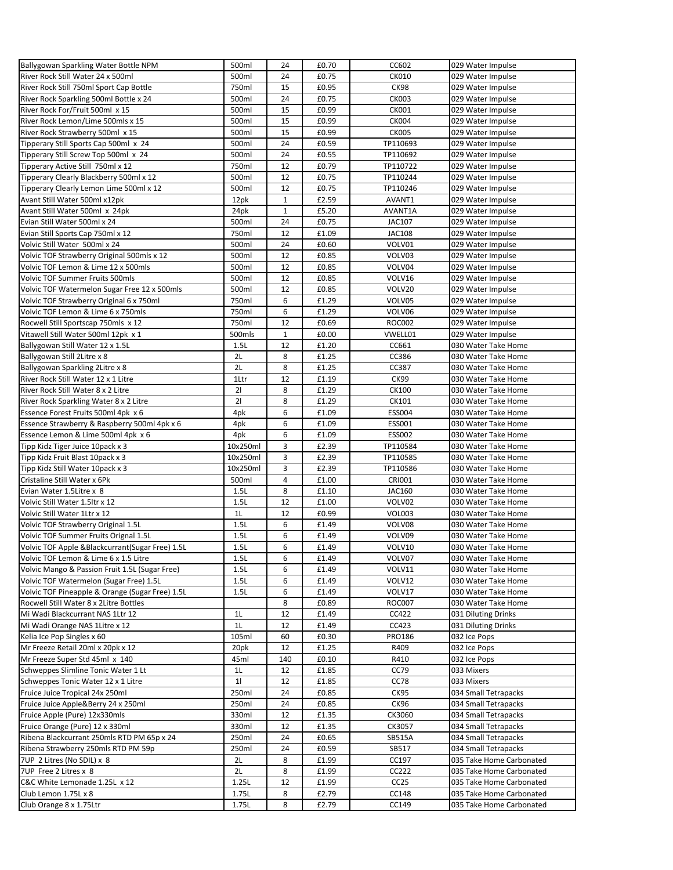| Ballygowan Sparkling Water Bottle NPM                                  | 500ml    | 24           | £0.70 | CC602            | 029 Water Impulse                          |
|------------------------------------------------------------------------|----------|--------------|-------|------------------|--------------------------------------------|
| River Rock Still Water 24 x 500ml                                      | 500ml    | 24           | £0.75 | <b>CK010</b>     | 029 Water Impulse                          |
| River Rock Still 750ml Sport Cap Bottle                                | 750ml    | 15           | £0.95 | <b>CK98</b>      | 029 Water Impulse                          |
| River Rock Sparkling 500ml Bottle x 24                                 | 500ml    | 24           | £0.75 | <b>CK003</b>     | 029 Water Impulse                          |
| River Rock For/Fruit 500ml x 15                                        | 500ml    | 15           | £0.99 | CK001            | 029 Water Impulse                          |
| River Rock Lemon/Lime 500mls x 15                                      | 500ml    | 15           | £0.99 | <b>CK004</b>     | 029 Water Impulse                          |
| River Rock Strawberry 500ml x 15                                       | 500ml    | 15           | £0.99 | <b>CK005</b>     | 029 Water Impulse                          |
| Tipperary Still Sports Cap 500ml x 24                                  | 500ml    | 24           | £0.59 | TP110693         | 029 Water Impulse                          |
| Tipperary Still Screw Top 500ml x 24                                   | 500ml    | 24           | £0.55 | TP110692         | 029 Water Impulse                          |
| Tipperary Active Still 750ml x 12                                      | 750ml    | 12           | £0.79 | TP110722         | 029 Water Impulse                          |
| Tipperary Clearly Blackberry 500ml x 12                                | 500ml    | 12           | £0.75 | TP110244         | 029 Water Impulse                          |
| Tipperary Clearly Lemon Lime 500ml x 12                                | 500ml    | 12           | £0.75 | TP110246         | 029 Water Impulse                          |
| Avant Still Water 500ml x12pk                                          | 12pk     | $\mathbf{1}$ | £2.59 | AVANT1           | 029 Water Impulse                          |
| Avant Still Water 500ml x 24pk                                         | 24pk     | 1            | £5.20 | AVANT1A          | 029 Water Impulse                          |
| Evian Still Water 500ml x 24                                           | 500ml    | 24           | £0.75 | <b>JAC107</b>    | 029 Water Impulse                          |
| Evian Still Sports Cap 750ml x 12                                      | 750ml    | 12           | £1.09 | <b>JAC108</b>    | 029 Water Impulse                          |
| Volvic Still Water 500ml x 24                                          | 500ml    | 24           | £0.60 | VOLV01           | 029 Water Impulse                          |
| Volvic TOF Strawberry Original 500mls x 12                             | 500ml    | 12           | £0.85 | VOLV03           | 029 Water Impulse                          |
| Volvic TOF Lemon & Lime 12 x 500mls                                    | 500ml    | 12           | £0.85 | VOLV04           | 029 Water Impulse                          |
| Volvic TOF Summer Fruits 500mls                                        | 500ml    | 12           | £0.85 | VOLV16           | 029 Water Impulse                          |
| Volvic TOF Watermelon Sugar Free 12 x 500mls                           | 500ml    | 12           | £0.85 | VOLV20           | 029 Water Impulse                          |
| Volvic TOF Strawberry Original 6 x 750ml                               | 750ml    | 6            | £1.29 | VOLV05           | 029 Water Impulse                          |
| Volvic TOF Lemon & Lime 6 x 750mls                                     | 750ml    | 6            | £1.29 | VOLV06           | 029 Water Impulse                          |
| Rocwell Still Sportscap 750mls x 12                                    | 750ml    | 12           | £0.69 | ROC002           | 029 Water Impulse                          |
| Vitawell Still Water 500ml 12pk x 1                                    | 500mls   | $\mathbf{1}$ | £0.00 | VWELL01          | 029 Water Impulse                          |
| Ballygowan Still Water 12 x 1.5L                                       | 1.5L     | 12           | £1.20 | CC661            | 030 Water Take Home                        |
| Ballygowan Still 2Litre x 8                                            | 2L       | 8            | £1.25 | CC386            | 030 Water Take Home                        |
|                                                                        | 2L       | 8            | £1.25 | CC387            | 030 Water Take Home                        |
| Ballygowan Sparkling 2Litre x 8<br>River Rock Still Water 12 x 1 Litre | 1Ltr     | 12           | £1.19 | CK99             |                                            |
| River Rock Still Water 8 x 2 Litre                                     | 21       | 8            | £1.29 | <b>CK100</b>     | 030 Water Take Home<br>030 Water Take Home |
|                                                                        | 21       | 8            | £1.29 | CK101            |                                            |
| River Rock Sparkling Water 8 x 2 Litre                                 |          | 6            |       |                  | 030 Water Take Home                        |
| Essence Forest Fruits 500ml 4pk x 6                                    | 4pk      |              | £1.09 | <b>ESS004</b>    | 030 Water Take Home                        |
| Essence Strawberry & Raspberry 500ml 4pk x 6                           | 4pk      | 6            | £1.09 | ESS001           | 030 Water Take Home                        |
| Essence Lemon & Lime 500ml 4pk x 6                                     | 4pk      | 6            | £1.09 | <b>ESS002</b>    | 030 Water Take Home                        |
| Tipp Kidz Tiger Juice 10pack x 3                                       | 10x250ml | 3<br>3       | £2.39 | TP110584         | 030 Water Take Home                        |
| Tipp Kidz Fruit Blast 10pack x 3                                       | 10x250ml |              | £2.39 | TP110585         | 030 Water Take Home                        |
| Tipp Kidz Still Water 10pack x 3                                       | 10x250ml | 3            | £2.39 | TP110586         | 030 Water Take Home                        |
| Cristaline Still Water x 6Pk                                           | 500ml    | 4            | £1.00 | <b>CRI001</b>    | 030 Water Take Home                        |
| Evian Water 1.5 Litre x 8                                              | 1.5L     | 8            | £1.10 | JAC160           | 030 Water Take Home                        |
| Volvic Still Water 1.5ltr x 12                                         | 1.5L     | 12           | £1.00 | VOLV02           | 030 Water Take Home                        |
| Volvic Still Water 1Ltr x 12                                           | 1L       | 12           | £0.99 | VOL003           | 030 Water Take Home                        |
| Volvic TOF Strawberry Original 1.5L                                    | 1.5L     | 6            | £1.49 | VOLV08           | 030 Water Take Home                        |
| Volvic TOF Summer Fruits Orignal 1.5L                                  | 1.5L     | 6            | £1.49 | VOLV09           | 030 Water Take Home                        |
| Volvic TOF Apple & Blackcurrant (Sugar Free) 1.5L                      | 1.5L     | 6            | £1.49 | VOLV10           | 030 Water Take Home                        |
| Volvic TOF Lemon & Lime 6 x 1.5 Litre                                  | 1.5L     | 6            | £1.49 | VOLV07           | 030 Water Take Home                        |
| Volvic Mango & Passion Fruit 1.5L (Sugar Free)                         | 1.5L     | 6            | £1.49 | VOLV11           | 030 Water Take Home                        |
| Volvic TOF Watermelon (Sugar Free) 1.5L                                | 1.5L     | 6            | £1.49 | VOLV12           | 030 Water Take Home                        |
| Volvic TOF Pineapple & Orange (Sugar Free) 1.5L                        | 1.5L     | 6            | £1.49 | VOLV17           | 030 Water Take Home                        |
| Rocwell Still Water 8 x 2Litre Bottles                                 |          | 8            | £0.89 | <b>ROC007</b>    | 030 Water Take Home                        |
| Mi Wadi Blackcurrant NAS 1Ltr 12                                       | 1L       | 12           | £1.49 | CC422            | 031 Diluting Drinks                        |
| Mi Wadi Orange NAS 1 Litre x 12                                        | 1L       | 12           | £1.49 | CC423            | 031 Diluting Drinks                        |
| Kelia Ice Pop Singles x 60                                             | 105ml    | 60           | £0.30 | <b>PRO186</b>    | 032 Ice Pops                               |
| Mr Freeze Retail 20ml x 20pk x 12                                      | 20pk     | 12           | £1.25 | R409             | 032 Ice Pops                               |
| Mr Freeze Super Std 45ml x 140                                         | 45ml     | 140          | £0.10 | R410             | 032 Ice Pops                               |
| Schweppes Slimline Tonic Water 1 Lt                                    | 1L       | 12           | £1.85 | CC79             | 033 Mixers                                 |
| Schweppes Tonic Water 12 x 1 Litre                                     | 11       | 12           | £1.85 | CC78             | 033 Mixers                                 |
| Fruice Juice Tropical 24x 250ml                                        | 250ml    | 24           | £0.85 | CK95             | 034 Small Tetrapacks                       |
| Fruice Juice Apple&Berry 24 x 250ml                                    | 250ml    | 24           | £0.85 | <b>CK96</b>      | 034 Small Tetrapacks                       |
| Fruice Apple (Pure) 12x330mls                                          | 330ml    | 12           | £1.35 | CK3060           | 034 Small Tetrapacks                       |
| Fruice Orange (Pure) 12 x 330ml                                        | 330ml    | 12           | £1.35 | CK3057           | 034 Small Tetrapacks                       |
| Ribena Blackcurrant 250mls RTD PM 65p x 24                             | 250ml    | 24           | £0.65 | SB515A           | 034 Small Tetrapacks                       |
| Ribena Strawberry 250mls RTD PM 59p                                    | 250ml    | 24           | £0.59 | SB517            | 034 Small Tetrapacks                       |
| 7UP 2 Litres (No SDIL) x 8                                             | 2L       | 8            | £1.99 | CC197            | 035 Take Home Carbonated                   |
| 7UP Free 2 Litres x 8                                                  | 2L       | 8            | £1.99 | CC222            | 035 Take Home Carbonated                   |
| C&C White Lemonade 1.25L x 12                                          | 1.25L    | 12           | £1.99 | CC <sub>25</sub> | 035 Take Home Carbonated                   |
| Club Lemon 1.75L x 8                                                   | 1.75L    | 8            | £2.79 | CC148            | 035 Take Home Carbonated                   |
| Club Orange 8 x 1.75Ltr                                                | 1.75L    | 8            | £2.79 | CC149            | 035 Take Home Carbonated                   |